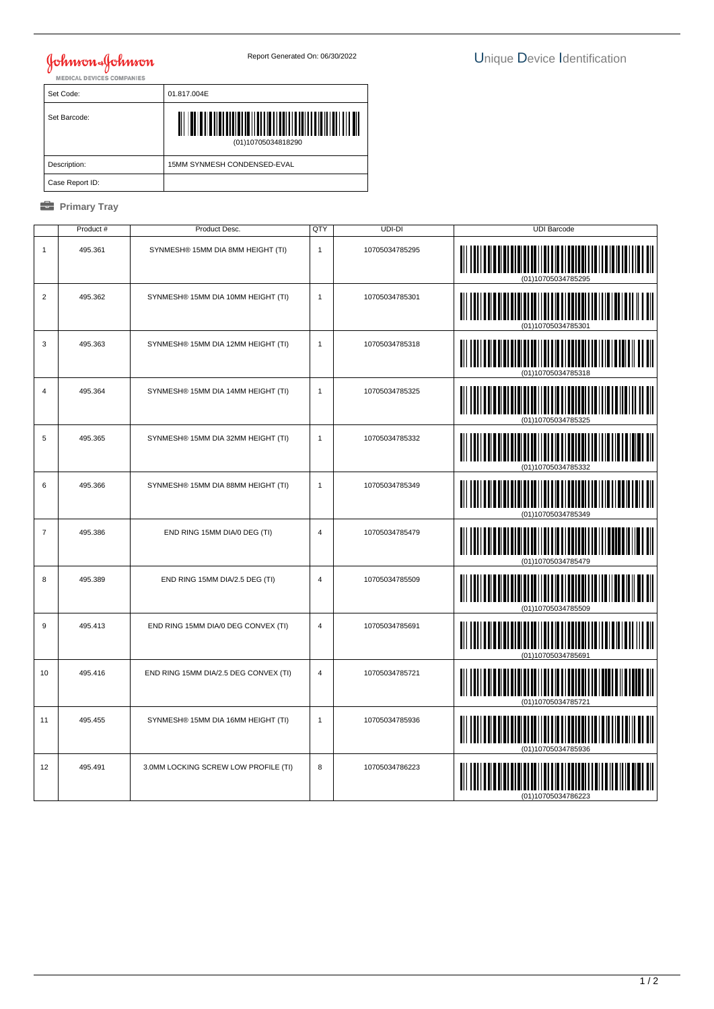## **Johnson & Johnson**

| Set Code:       | 01.817.004E                 |
|-----------------|-----------------------------|
| Set Barcode:    | (01)10705034818290          |
| Description:    | 15MM SYNMESH CONDENSED-EVAL |
| Case Report ID: |                             |

## *<u><b>* Primary Tray</u>

|                  | Product # | Product Desc.                         | QTY            | UDI-DI         | <b>UDI Barcode</b>           |
|------------------|-----------|---------------------------------------|----------------|----------------|------------------------------|
| $\mathbf{1}$     | 495.361   | SYNMESH® 15MM DIA 8MM HEIGHT (TI)     | $\mathbf{1}$   | 10705034785295 |                              |
| $\overline{2}$   | 495.362   | SYNMESH® 15MM DIA 10MM HEIGHT (TI)    | $\mathbf{1}$   | 10705034785301 | (01)10705034785301           |
| 3                | 495.363   | SYNMESH® 15MM DIA 12MM HEIGHT (TI)    | $\mathbf{1}$   | 10705034785318 | IIIII                        |
| $\overline{4}$   | 495.364   | SYNMESH® 15MM DIA 14MM HEIGHT (TI)    | $\mathbf{1}$   | 10705034785325 | (01)10705034785325           |
| 5                | 495.365   | SYNMESH® 15MM DIA 32MM HEIGHT (TI)    | $\mathbf{1}$   | 10705034785332 |                              |
| 6                | 495.366   | SYNMESH® 15MM DIA 88MM HEIGHT (TI)    | $\mathbf{1}$   | 10705034785349 | ║║║║                         |
| $\overline{7}$   | 495.386   | END RING 15MM DIA/0 DEG (TI)          | 4              | 10705034785479 |                              |
| 8                | 495.389   | END RING 15MM DIA/2.5 DEG (TI)        | $\overline{4}$ | 10705034785509 |                              |
| $\boldsymbol{9}$ | 495.413   | END RING 15MM DIA/0 DEG CONVEX (TI)   | $\overline{4}$ | 10705034785691 | <b>TII IIII ANDILLII III</b> |
| 10               | 495.416   | END RING 15MM DIA/2.5 DEG CONVEX (TI) | $\overline{4}$ | 10705034785721 |                              |
| 11               | 495.455   | SYNMESH® 15MM DIA 16MM HEIGHT (TI)    | $\mathbf{1}$   | 10705034785936 |                              |
| 12               | 495.491   | 3.0MM LOCKING SCREW LOW PROFILE (TI)  | 8              | 10705034786223 |                              |